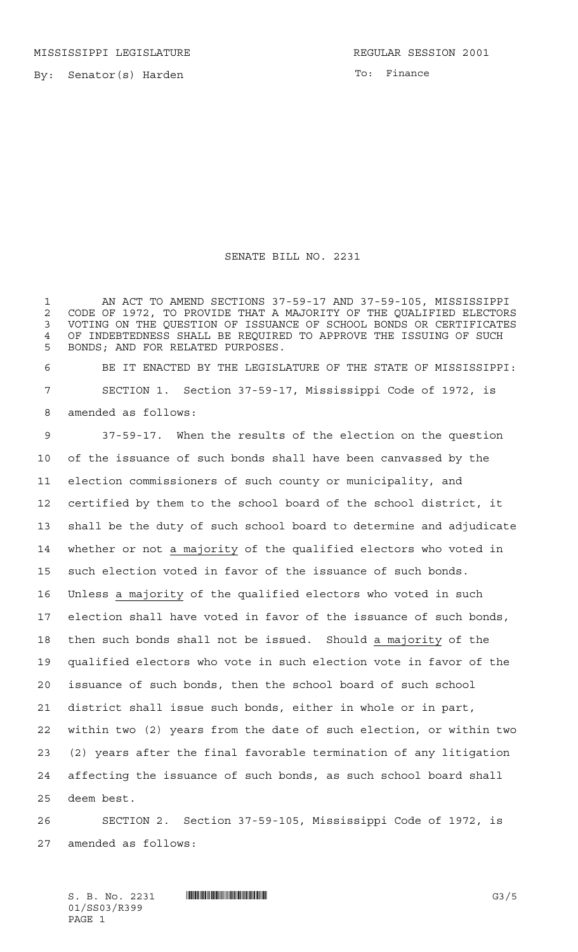MISSISSIPPI LEGISLATURE **REGULAR SESSION 2001** 

By: Senator(s) Harden

To: Finance

## SENATE BILL NO. 2231

 AN ACT TO AMEND SECTIONS 37-59-17 AND 37-59-105, MISSISSIPPI CODE OF 1972, TO PROVIDE THAT A MAJORITY OF THE QUALIFIED ELECTORS VOTING ON THE QUESTION OF ISSUANCE OF SCHOOL BONDS OR CERTIFICATES OF INDEBTEDNESS SHALL BE REQUIRED TO APPROVE THE ISSUING OF SUCH BONDS; AND FOR RELATED PURPOSES.

 BE IT ENACTED BY THE LEGISLATURE OF THE STATE OF MISSISSIPPI: SECTION 1. Section 37-59-17, Mississippi Code of 1972, is amended as follows:

 37-59-17. When the results of the election on the question of the issuance of such bonds shall have been canvassed by the election commissioners of such county or municipality, and certified by them to the school board of the school district, it shall be the duty of such school board to determine and adjudicate 14 whether or not a majority of the qualified electors who voted in such election voted in favor of the issuance of such bonds. Unless a majority of the qualified electors who voted in such election shall have voted in favor of the issuance of such bonds, then such bonds shall not be issued. Should a majority of the qualified electors who vote in such election vote in favor of the issuance of such bonds, then the school board of such school district shall issue such bonds, either in whole or in part, within two (2) years from the date of such election, or within two (2) years after the final favorable termination of any litigation affecting the issuance of such bonds, as such school board shall deem best.

 SECTION 2. Section 37-59-105, Mississippi Code of 1972, is amended as follows: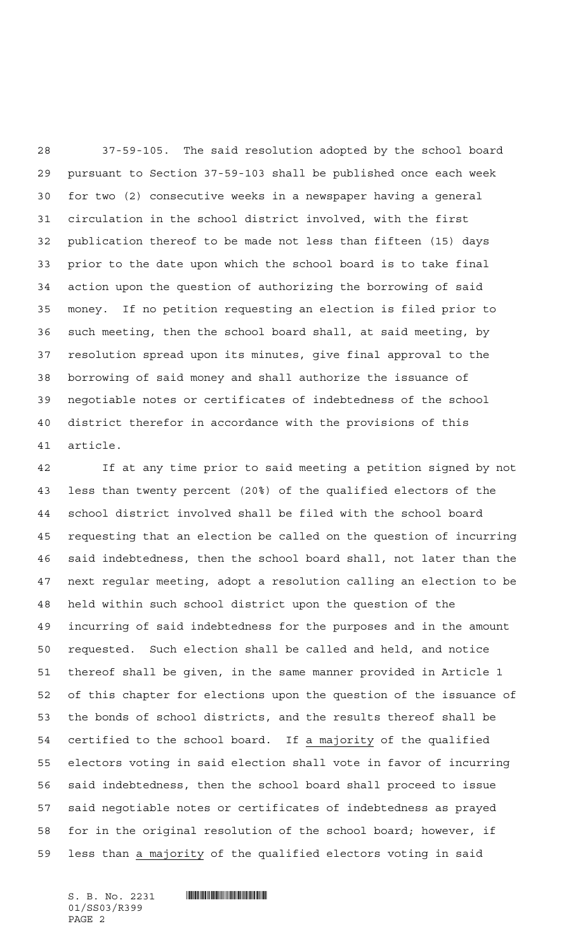37-59-105. The said resolution adopted by the school board pursuant to Section 37-59-103 shall be published once each week for two (2) consecutive weeks in a newspaper having a general circulation in the school district involved, with the first publication thereof to be made not less than fifteen (15) days prior to the date upon which the school board is to take final action upon the question of authorizing the borrowing of said money. If no petition requesting an election is filed prior to such meeting, then the school board shall, at said meeting, by resolution spread upon its minutes, give final approval to the borrowing of said money and shall authorize the issuance of negotiable notes or certificates of indebtedness of the school district therefor in accordance with the provisions of this article.

 If at any time prior to said meeting a petition signed by not less than twenty percent (20%) of the qualified electors of the school district involved shall be filed with the school board requesting that an election be called on the question of incurring said indebtedness, then the school board shall, not later than the next regular meeting, adopt a resolution calling an election to be held within such school district upon the question of the incurring of said indebtedness for the purposes and in the amount requested. Such election shall be called and held, and notice thereof shall be given, in the same manner provided in Article 1 of this chapter for elections upon the question of the issuance of the bonds of school districts, and the results thereof shall be certified to the school board. If a majority of the qualified electors voting in said election shall vote in favor of incurring said indebtedness, then the school board shall proceed to issue said negotiable notes or certificates of indebtedness as prayed for in the original resolution of the school board; however, if less than a majority of the qualified electors voting in said

 $S. B. No. 2231$  . The set of  $S. B. N_O.$ 01/SS03/R399 PAGE 2